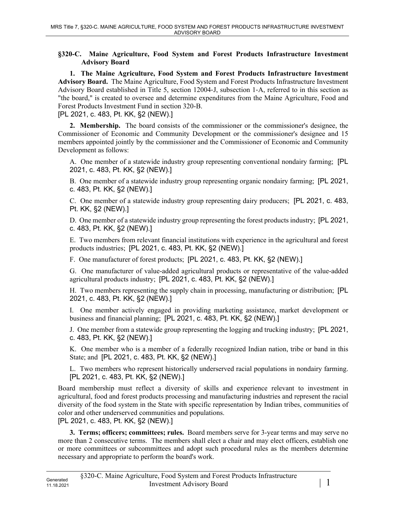## **§320-C. Maine Agriculture, Food System and Forest Products Infrastructure Investment Advisory Board**

**1. The Maine Agriculture, Food System and Forest Products Infrastructure Investment Advisory Board.** The Maine Agriculture, Food System and Forest Products Infrastructure Investment Advisory Board established in Title 5, section 12004‑J, subsection 1‑A, referred to in this section as "the board," is created to oversee and determine expenditures from the Maine Agriculture, Food and Forest Products Investment Fund in section 320-B.

[PL 2021, c. 483, Pt. KK, §2 (NEW).]

**2. Membership.** The board consists of the commissioner or the commissioner's designee, the Commissioner of Economic and Community Development or the commissioner's designee and 15 members appointed jointly by the commissioner and the Commissioner of Economic and Community Development as follows:

A. One member of a statewide industry group representing conventional nondairy farming; [PL 2021, c. 483, Pt. KK, §2 (NEW).]

B. One member of a statewide industry group representing organic nondairy farming; [PL 2021, c. 483, Pt. KK, §2 (NEW).]

C. One member of a statewide industry group representing dairy producers; [PL 2021, c. 483, Pt. KK, §2 (NEW).]

D. One member of a statewide industry group representing the forest products industry; [PL 2021, c. 483, Pt. KK, §2 (NEW).]

E. Two members from relevant financial institutions with experience in the agricultural and forest products industries; [PL 2021, c. 483, Pt. KK, §2 (NEW).]

F. One manufacturer of forest products; [PL 2021, c. 483, Pt. KK, §2 (NEW).]

G. One manufacturer of value-added agricultural products or representative of the value-added agricultural products industry; [PL 2021, c. 483, Pt. KK, §2 (NEW).]

H. Two members representing the supply chain in processing, manufacturing or distribution; [PL 2021, c. 483, Pt. KK, §2 (NEW).]

I. One member actively engaged in providing marketing assistance, market development or business and financial planning; [PL 2021, c. 483, Pt. KK, §2 (NEW).]

J. One member from a statewide group representing the logging and trucking industry; [PL 2021, c. 483, Pt. KK, §2 (NEW).]

K. One member who is a member of a federally recognized Indian nation, tribe or band in this State; and [PL 2021, c. 483, Pt. KK, §2 (NEW).]

L. Two members who represent historically underserved racial populations in nondairy farming. [PL 2021, c. 483, Pt. KK, §2 (NEW).]

Board membership must reflect a diversity of skills and experience relevant to investment in agricultural, food and forest products processing and manufacturing industries and represent the racial diversity of the food system in the State with specific representation by Indian tribes, communities of color and other underserved communities and populations.

[PL 2021, c. 483, Pt. KK, §2 (NEW).]

**3. Terms; officers; committees; rules.** Board members serve for 3-year terms and may serve no more than 2 consecutive terms. The members shall elect a chair and may elect officers, establish one or more committees or subcommittees and adopt such procedural rules as the members determine necessary and appropriate to perform the board's work.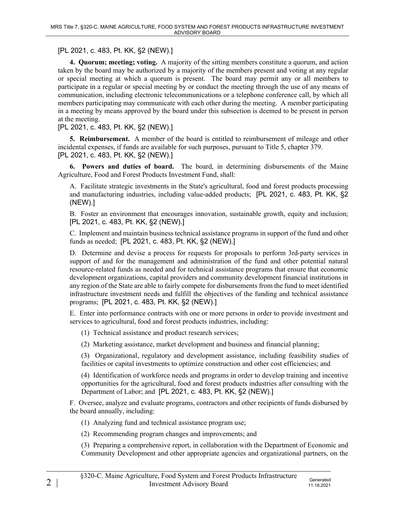[PL 2021, c. 483, Pt. KK, §2 (NEW).]

**4. Quorum; meeting; voting.** A majority of the sitting members constitute a quorum, and action taken by the board may be authorized by a majority of the members present and voting at any regular or special meeting at which a quorum is present. The board may permit any or all members to participate in a regular or special meeting by or conduct the meeting through the use of any means of communication, including electronic telecommunications or a telephone conference call, by which all members participating may communicate with each other during the meeting. A member participating in a meeting by means approved by the board under this subsection is deemed to be present in person at the meeting.

[PL 2021, c. 483, Pt. KK, §2 (NEW).]

**5. Reimbursement.** A member of the board is entitled to reimbursement of mileage and other incidental expenses, if funds are available for such purposes, pursuant to Title 5, chapter 379. [PL 2021, c. 483, Pt. KK, §2 (NEW).]

**6. Powers and duties of board.** The board, in determining disbursements of the Maine Agriculture, Food and Forest Products Investment Fund, shall:

A. Facilitate strategic investments in the State's agricultural, food and forest products processing and manufacturing industries, including value-added products; [PL 2021, c. 483, Pt. KK, §2 (NEW).]

B. Foster an environment that encourages innovation, sustainable growth, equity and inclusion; [PL 2021, c. 483, Pt. KK, §2 (NEW).]

C. Implement and maintain business technical assistance programs in support of the fund and other funds as needed; [PL 2021, c. 483, Pt. KK, §2 (NEW).]

D. Determine and devise a process for requests for proposals to perform 3rd-party services in support of and for the management and administration of the fund and other potential natural resource-related funds as needed and for technical assistance programs that ensure that economic development organizations, capital providers and community development financial institutions in any region of the State are able to fairly compete for disbursements from the fund to meet identified infrastructure investment needs and fulfill the objectives of the funding and technical assistance programs; [PL 2021, c. 483, Pt. KK, §2 (NEW).]

E. Enter into performance contracts with one or more persons in order to provide investment and services to agricultural, food and forest products industries, including:

(1) Technical assistance and product research services;

(2) Marketing assistance, market development and business and financial planning;

(3) Organizational, regulatory and development assistance, including feasibility studies of facilities or capital investments to optimize construction and other cost efficiencies; and

(4) Identification of workforce needs and programs in order to develop training and incentive opportunities for the agricultural, food and forest products industries after consulting with the Department of Labor; and [PL 2021, c. 483, Pt. KK, §2 (NEW).]

F. Oversee, analyze and evaluate programs, contractors and other recipients of funds disbursed by the board annually, including:

(1) Analyzing fund and technical assistance program use;

(2) Recommending program changes and improvements; and

(3) Preparing a comprehensive report, in collaboration with the Department of Economic and Community Development and other appropriate agencies and organizational partners, on the